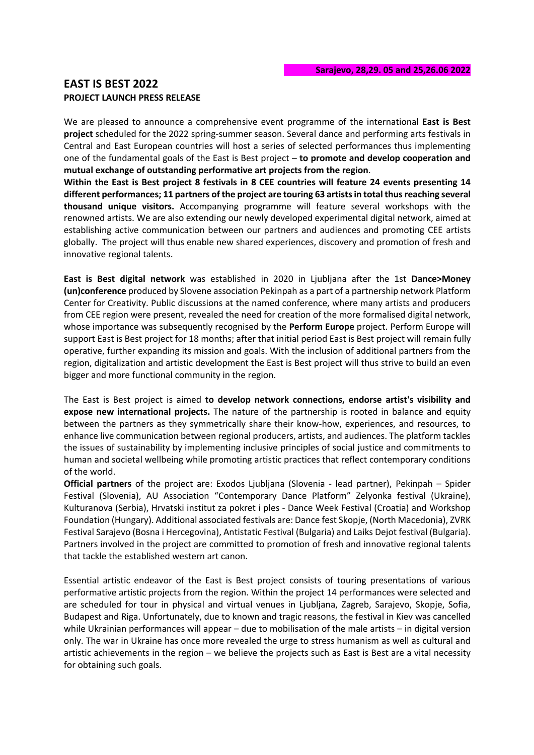# **EAST IS BEST 2022 PROJECT LAUNCH PRESS RELEASE**

We are pleased to announce a comprehensive event programme of the international **East is Best project** scheduled for the 2022 spring-summer season. Several dance and performing arts festivals in Central and East European countries will host a series of selected performances thus implementing one of the fundamental goals of the East is Best project – **to promote and develop cooperation and mutual exchange of outstanding performative art projects from the region**.

**Within the East is Best project 8 festivals in 8 CEE countries will feature 24 events presenting 14 different performances; 11 partners of the project are touring 63 artists in total thus reaching several thousand unique visitors.** Accompanying programme will feature several workshops with the renowned artists. We are also extending our newly developed experimental digital network, aimed at establishing active communication between our partners and audiences and promoting CEE artists globally. The project will thus enable new shared experiences, discovery and promotion of fresh and innovative regional talents.

**East is Best digital network** was established in 2020 in Ljubljana after the 1st **Dance>Money (un)conference** produced by Slovene association Pekinpah as a part of a partnership network Platform Center for Creativity. Public discussions at the named conference, where many artists and producers from CEE region were present, revealed the need for creation of the more formalised digital network, whose importance was subsequently recognised by the **Perform Europe** project. Perform Europe will support East is Best project for 18 months; after that initial period East is Best project will remain fully operative, further expanding its mission and goals. With the inclusion of additional partners from the region, digitalization and artistic development the East is Best project will thus strive to build an even bigger and more functional community in the region.

The East is Best project is aimed **to develop network connections, endorse artist's visibility and expose new international projects.** The nature of the partnership is rooted in balance and equity between the partners as they symmetrically share their know-how, experiences, and resources, to enhance live communication between regional producers, artists, and audiences. The platform tackles the issues of sustainability by implementing inclusive principles of social justice and commitments to human and societal wellbeing while promoting artistic practices that reflect contemporary conditions of the world.

**Official partners** of the project are: Exodos Ljubljana (Slovenia - lead partner), Pekinpah – Spider Festival (Slovenia), AU Association "Contemporary Dance Platform" Zelyonka festival (Ukraine), Kulturanova (Serbia), Hrvatski institut za pokret i ples - Dance Week Festival (Croatia) and Workshop Foundation (Hungary). Additional associated festivals are: Dance fest Skopje, (North Macedonia), ZVRK Festival Sarajevo (Bosna i Hercegovina), Antistatic Festival (Bulgaria) and Laiks Dejot festival (Bulgaria). Partners involved in the project are committed to promotion of fresh and innovative regional talents that tackle the established western art canon.

Essential artistic endeavor of the East is Best project consists of touring presentations of various performative artistic projects from the region. Within the project 14 performances were selected and are scheduled for tour in physical and virtual venues in Ljubljana, Zagreb, Sarajevo, Skopje, Sofia, Budapest and Riga. Unfortunately, due to known and tragic reasons, the festival in Kiev was cancelled while Ukrainian performances will appear – due to mobilisation of the male artists – in digital version only. The war in Ukraine has once more revealed the urge to stress humanism as well as cultural and artistic achievements in the region – we believe the projects such as East is Best are a vital necessity for obtaining such goals.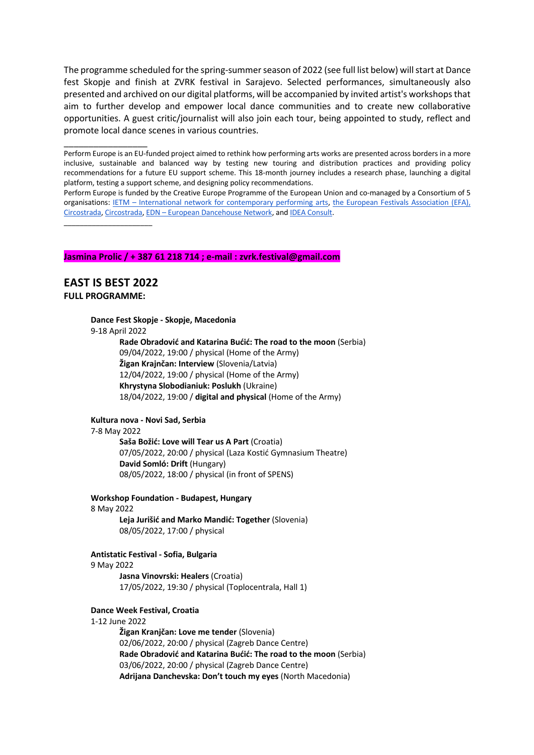The programme scheduled for the spring-summer season of 2022 (see full list below) will start at Dance fest Skopje and finish at ZVRK festival in Sarajevo. Selected performances, simultaneously also presented and archived on our digital platforms, will be accompanied by invited artist's workshops that aim to further develop and empower local dance communities and to create new collaborative opportunities. A guest critic/journalist will also join each tour, being appointed to study, reflect and promote local dance scenes in various countries.

Perform Europe is an EU-funded project aimed to rethink how performing arts works are presented across borders in a more inclusive, sustainable and balanced way by testing new touring and distribution practices and providing policy recommendations for a future EU support scheme. This 18-month journey includes a research phase, launching a digital platform, testing a support scheme, and designing policy recommendations.

Perform Europe is funded by the Creative Europe Programme of the European Union and co-managed by a Consortium of 5 organisations: IETM – International network for contemporary performing arts, the European Festivals Association (EFA), Circostrada, Circostrada, EDN – European Dancehouse Network, and IDEA Consult.

\_\_\_\_\_\_\_\_\_\_\_\_\_\_\_\_\_\_\_\_\_\_

\_\_\_\_\_\_\_\_\_\_\_\_\_\_\_\_\_

## **Jasmina Prolic / + 387 61 218 714 ; e-mail : zvrk.festival@gmail.com**

# **EAST IS BEST 2022 FULL PROGRAMME:**

# **Dance Fest Skopje - Skopje, Macedonia**

9-18 April 2022

**Rade Obradović and Katarina Bućić: The road to the moon** (Serbia) 09/04/2022, 19:00 / physical (Home of the Army) **Žigan Krajnčan: Interview** (Slovenia/Latvia) 12/04/2022, 19:00 / physical (Home of the Army) **Khrystyna Slobodianiuk: Poslukh** (Ukraine) 18/04/2022, 19:00 / **digital and physical** (Home of the Army)

### **Kultura nova - Novi Sad, Serbia**

### 7-8 May 2022

**Saša Božić: Love will Tear us A Part** (Croatia) 07/05/2022, 20:00 / physical (Laza Kostić Gymnasium Theatre) **David Somló: Drift** (Hungary) 08/05/2022, 18:00 / physical (in front of SPENS)

**Workshop Foundation - Budapest, Hungary** 8 May 2022

**Leja Jurišić and Marko Mandić: Together** (Slovenia) 08/05/2022, 17:00 / physical

# **Antistatic Festival - Sofia, Bulgaria**

#### 9 May 2022

**Jasna Vinovrski: Healers** (Croatia) 17/05/2022, 19:30 / physical (Toplocentrala, Hall 1)

## **Dance Week Festival, Croatia**

## 1-12 June 2022

**Žigan Kranjčan: Love me tender** (Slovenia) 02/06/2022, 20:00 / physical (Zagreb Dance Centre) **Rade Obradović and Katarina Bućić: The road to the moon** (Serbia) 03/06/2022, 20:00 / physical (Zagreb Dance Centre) **Adrijana Danchevska: Don't touch my eyes** (North Macedonia)